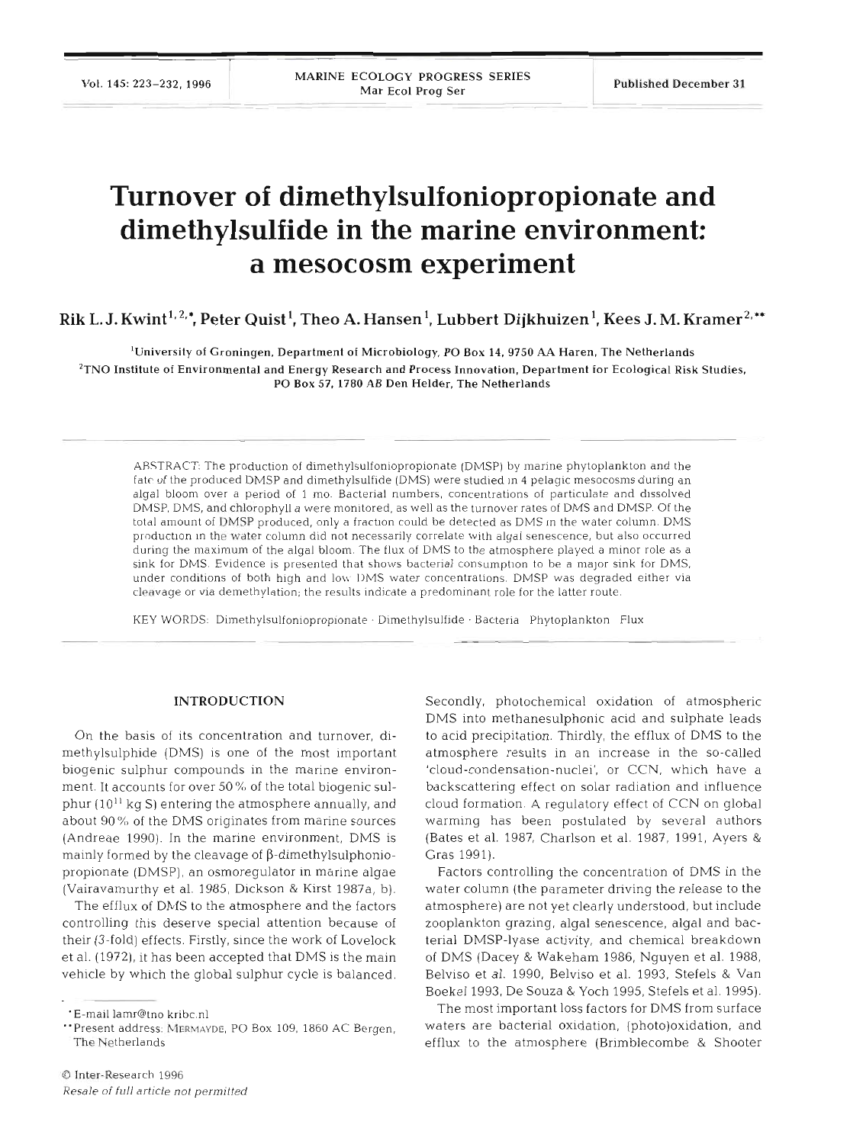# **Turnover of dimethylsulfoniopropionate and dimethylsulfide in the marine environment: a mesocosm experiment**

Rik L. J. Kwint<sup>1, 2,</sup>\*, Peter Quist<sup>1</sup>, Theo A. Hansen<sup>1</sup>, Lubbert Dijkhuizen<sup>1</sup>, Kees J. M. Kramer<sup>2,\*\*</sup>

'University of Groningen. Department of Microbiology, PO Box **14, 9750** M Haren, The Netherlands  $<sup>2</sup>$ TNO Institute of Environmental and Energy Research and Process Innovation, Department for Ecological Risk Studies,</sup> PO Box **57,1780** AB Den Helder, The Netherlands

ABSTRACT: The production of dimethylsulfoniopropionate (DMSP) by marine phytoplankton and the fate of the produced DMSP and dimethylsulfide (DMS) were studied in 4 pelagic mesocosms during an algal bloom over a period of 1 mo. Bacterial numbers, concentrations of particulate and dissolved DMSP, DMS, and chlorophyll a were monitored, as well as the turnover rates of DMS and DMSP. Of the total amount of DMSP produced, only a fraction could be detected as DMS in the water column. DMS production in the water column did not necessarily correlate with algal senescence, but also occurred during the maximum of the algal bloom. The flux of DMS to the atmosphere played a minor role as a sink for DMS. Evidence is presented that shows bacterial consumption to be a major sink for DMS, under conditions of both high and low DMS water concentrations. DMSP was degraded either via cleavage or via demethylation; the results indicate a predominant role for the latter route.

KEY WORDS: Dimethylsulfoniopropionate . Dimethylsulfide . Bacteria Phytoplankton Flux

## **INTRODUCTION**

On the basis of its concentration and turnover, dimethylsulphide (DMS) is one of the most important biogenic sulphur compounds in the marine environment. It accounts for over 50% of the total biogenic sulphur  $(10^{11}$  kg S) entering the atmosphere annually, and about 90 % of the DMS originates from marine sources (Andreae 1990). In the marine environment, DMS is mainly formed by the cleavage of  $\beta$ -dimethylsulphoniopropionate (DMSP), an osmoregulator in marine algae (Vairavamurthy et al. 1985, Dickson & Kirst 1987a, b).

The efflux of DMS to the atmosphere and the factors controlling this deserve special attention because of their (3-fold) effects. Firstly, since the work of Lovelock et al. (1972), it has been accepted that DMS is the main vehicle by which the global sulphur cycle is balanced.

Secondly, photochemical oxidation of atmospheric DMS into methanesulphonic acid and sulphate leads to acid precipitation. Thirdly, the efflux of DMS to the atmosphere results in an increase in the so-called 'cloud-condensation-nuclei', or CCN, which have a backscattering effect on solar radiation and influence cloud formation. A regulatory effect of CCN on global warming has been postulated by several authors (Bates et al. 1987, Charlson et al. 1987, 1991, Ayers & Gras 1991).

Factors controlling the concentration of DMS in the water column (the parameter driving the release to the atmosphere) are not yet clearly understood, but include zooplankton grazing, algal senescence, algal and bacterial DMSP-lyase activity, and chemical breakdown of DMS (Dacey & Wakeham 1986, Nguyen et al. 1988, Belviso et al. 1990, Belviso et al. 1993, Stefels & Van Boekel 1993, De Souza & Yoch 1995, Stefels et al. 1995).

The most important loss factors for DMS from surface waters are bacterial oxidation, (photo)oxidation, and efflux to the atmosphere (Brimblecombe & Shooter

<sup>&#</sup>x27;E-mail lamr@tno kribc.nl

<sup>&</sup>quot;Present address: **MERMAYDE,** PO BOX 109, 1860 AC Bergen, The Netherlands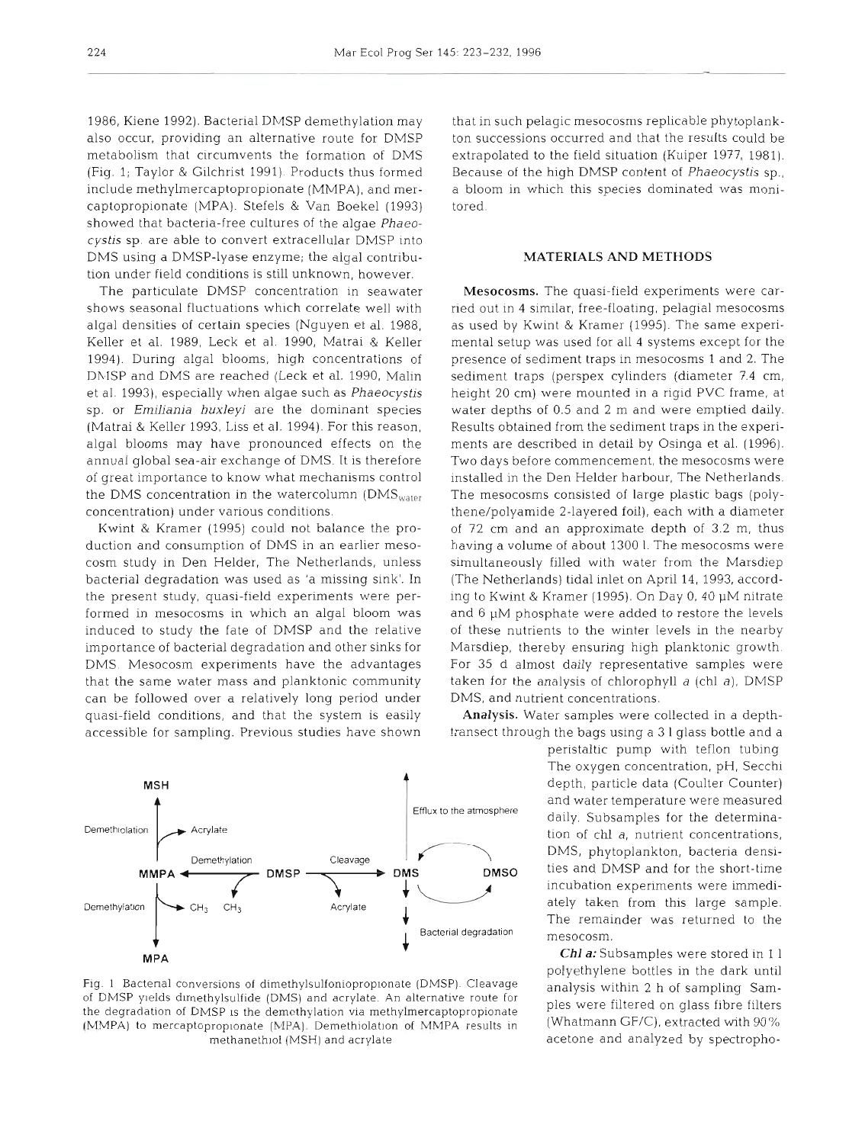1986, Kiene 1992). Bacterial DMSP demethylation may also occur, providing an alternative route for DMSP metabolism that circumvents the formation of DMS (Fig. 1; Taylor & Gilchrist 1991). Products thus formed include methylmercaptopropionate (MMPA), and mercaptopropionate (MPA). Stefels & Van Boekel (1993) showed that bacteria-free cultures of the algae Phaeo*cystis* sp. are able to convert extracellular DMSP into DMS using a DMSP-lyase enzyme; the algal contribution under field conditions is still unknown, however.

The particulate DMSP concentration in seawater shows seasonal fluctuations which correlate well with algal densities of certain species (Nguyen et al. 1988, Keller et al. 1989, Leck et al. 1990, Matrai & Keller 1994). During algal blooms, high concentrations of DMSP and DMS are reached (Leck et al. 1990, Malin et al. 1993), especially when algae such as Phaeocystis sp. or *Emiliania huxleyi* are the dominant species (Matrai & Keller 1993, Liss et al. 1994). For this reason, algal blooms may have pronounced effects on the annual global sea-air exchange of DMS. It is therefore of great importance to know what mechanisms control the DMS concentration in the watercolumn (DMS $_{water}$ concentration) under various conditions.

Kwint & Kramer (1995) could not balance the production and consumption of DMS in an earlier mesocosm study in Den Helder, The Netherlands, unless bacterial degradation was used as 'a missing sink'. In the present study, quasi-field experiments were performed in mesocosms in which an algal bloom was induced to study the fate of DMSP and the relative importance of bacterial degradation and other sinks for DMS. Mesocosm experiments have the advantages that the same water mass and planktonic community can be followed over a relatively long period under quasi-field conditions, and that the system is easily accessible for sampling. Previous studies have shown

**MSH** Efflux to the atmosphere and water temperature were measured<br>
Acrylate Denethylation<br>
Denethylation<br>
Denethylation<br>
Denethylation<br>
Denethylation<br>
Denethylation<br>
Denethylation<br>
Denethylation<br>
Denethylation<br>
Denethylation<br>
D Demethylation CH<sub>3</sub> CH<sub>3</sub>  $\overline{C}$  CH<sub>3</sub>  $\overline{C}$  Acrylate  $\overline{C}$  ately taken from this large sample. Bacterial degradation mesocosm. **MPA** 

Fig. 1 Bactenal conversions of dimethylsulfoniopropionate (DMSP). Cleavage analysis within 2 h of sampling Sam-<br>of DMSP yields dimethylsulfide (DMS) and acrylate. An alternative route for ples were filtered on glass fibre the degradation of DMSP is the demethylation via methylmercaptopropionate ples were filtered on glass fibre filter<br>MMMPA) to mercaptopropionate (MPA). Demethiolation of NMPA results in (Whatmann GF/C), extracted with 90% (MMPA) to mercaptopropionate (MPA). Demethiolation of MMPA results in methanethiol (MSH) and acrylate

that in such pelagic mesocosms replicable phytoplankton successions occurred and that the results could be extrapolated to the field situation (Kuiper 1977, 1981). Because of the high DMSP content of Phaeocystis sp., a bloom in which this species dominated was monitored.

# MATERIALS AND METHODS

Mesocosms. The quasi-field experiments were carried out in 4 similar, free-floating, pelagial mesocosms as used by Kwint & Kramer (1995). The same experimental setup was used for all 4 systems except for the presence of sediment traps in mesocosms 1 and 2. The sediment traps (perspex cylinders (diameter 7.4 cm, height 20 cm) were mounted in a rigid PVC frame, at water depths of 0.5 and 2 m and were emptied daily. Results obtained from the sediment traps in the experiments are described in detail by Osinga et al. (1996). Two days before commencement, the mesocosms were installed in the Den Helder harbour, The Netherlands. The mesocosms consisted of large plastic bags (polythene/polyamide 2-layered foil), each with a diameter of 72 cm and an approximate depth of 3.2 m, thus having a volume of about 1300 l. The mesocosms were simultaneously filled with water from the Marsdiep (The Netherlands) tidal inlet on April 14, 1993, according to Kwint & Kramer (1995). On Day 0, 40  $\mu$ M nitrate and 6  $\mu$ M phosphate were added to restore the levels of these nutrients to the winter levels in the nearby Marsdiep, thereby ensuring high planktonic growth For 35 d almost daily representative samples were taken for the analysis of chlorophyll  $a$  (chl  $a$ ), DMSP DMS, and nutrient concentrations.

Analysis. Water samples were collected in a depthtransect through the bags using a 3 1 glass bottle and a

> peristaltic pump with teflon tubing The oxygen concentration, pH, Secchi depth, particle data (Coulter Counter) incubation experiments were immedi-

> *Chl a:* Subsamples were stored in 1 1 polyethylene bottles in the dark until acetone and analyzed by spectropho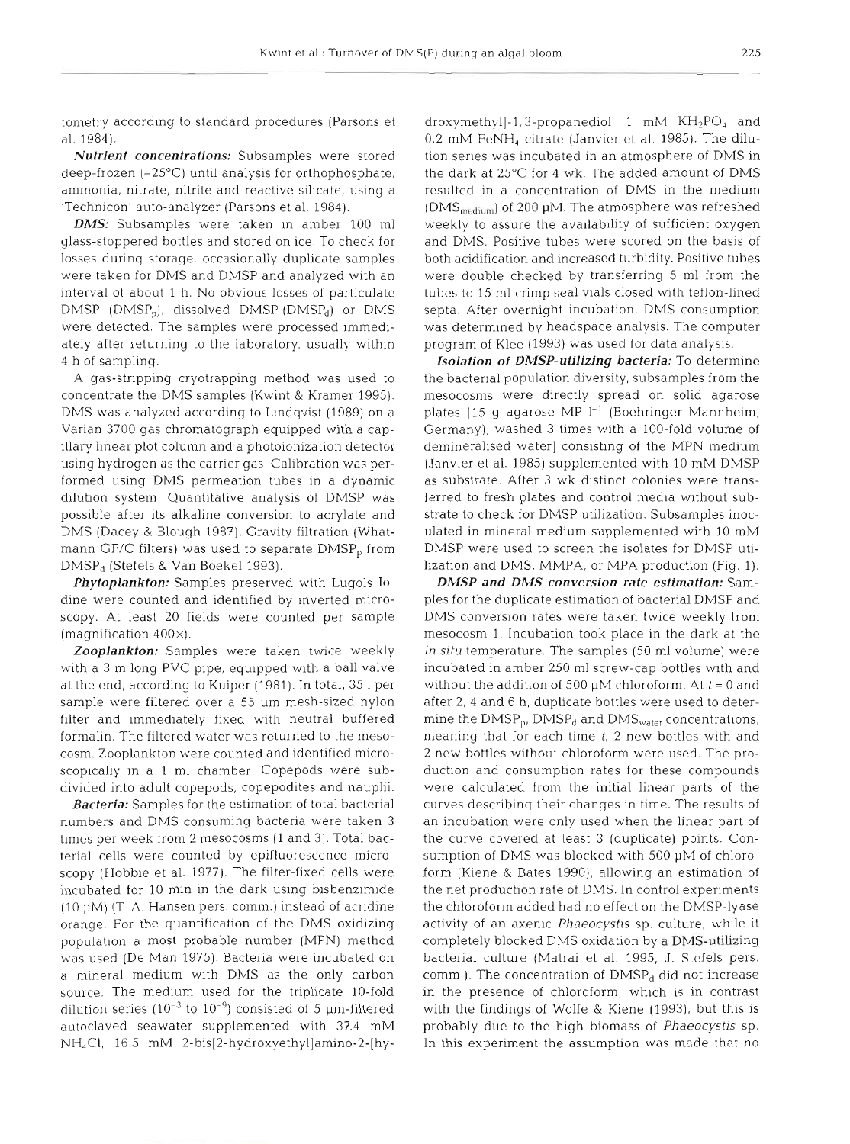tometry according to standard procedures (Parsons et al. 1984).

*Nutrient concentrations:* Subsamples were stored deep-frozen (-25°C) until analysis for orthophosphate, ammonia, nitrate, nitrite and reactive silicate, using a 'Technicon' auto-analyzer (Parsons et al. 1984).

*DMS:* Subsamples were taken in amber 100 m1 glass-stoppered bottles and stored on ice. To check for losses during storage, occasionally duplicate samples were taken for DMS and DMSP and analyzed with an interval of about 1 h. No obvious losses of particulate  $DMSP$  (DMSP<sub>0</sub>), dissolved DMSP (DMSP<sub>d</sub>) or DMS were detected. The samples were processed immediately after returning to the laboratory, usually within 4 h of sampling.

A gas-stripping cryotrapping method was used to concentrate the DMS samples (Kwint & Kramer 1995). DMS was analyzed according to Lindqvist (1989) on a Varian 3700 gas chromatograph equipped with a capillary linear plot column and a photoionization detector using hydrogen as the carrier gas. Calibration was performed using DMS permeation tubes in a dynamic dilution system. Quantitative analysis of DMSP was possible after its alkaline conversion to acrylate and DMS (Dacey & Blough 1987). Gravity filtration (Whatmann GF/C filters) was used to separate DMSP<sub>p</sub> from DMSP<sub>d</sub> (Stefels & Van Boekel 1993).

*Phytoplankton:* Samples preserved with Lugols Iodine were counted and identified by inverted microscopy. At least 20 fields were counted per sample (magnification  $400\times$ ).

*Zooplankton:* Samples were taken twice weekly with a 3 m long PVC pipe, equipped with a ball valve at the end, according to Kuiper (1981). In total, 35 1 per sample were filtered over a 55 µm mesh-sized nylon filter and immediately fixed with neutral buffered formalin. The filtered water was returned to the mesocosm. Zooplankton were counted and identified microscopically in a 1 m1 chamber Copepods were subdivided into adult copepods, copepodites and nauplii.

*Bacteria:* Samples for the estimation of total bacterial numbers and DMS consuming bacteria were taken 3 times per week from 2 mesocosms (1 and 3). Total bacterial cells were counted by epifluorescence microscopy (Hobbie et al. 1977). The filter-fixed cells were incubated for 10 min in the dark using bisbenzimide (10  $\mu$ M) (T A. Hansen pers. comm.) instead of acridine orange. For the quantiflcation of the DMS oxidizing population a most probable number (MPN) method was used (De Man 1975). Bacteria were incubated on <sup>a</sup>mineral medium with DMS as the only carbon source. The medium used for the triplicate 10-fold dilution series ( $10^{-3}$  to  $10^{-9}$ ) consisted of 5 µm-filtered autoclaved seawater supplemented with 37.4 mM NH4CI, 16.5 mM **2-bis[2-hydroxyethyllamino-2-[hy-** droxymethyl]-1,3-propanediol, 1 mM KH<sub>2</sub>PO<sub>4</sub> and<br>0.2 mM FeNH<sub>4</sub>-citrate (Janvier et al. 1985). The dilu-<br>tion series was incubated in an atmosphere of DMS in<br>the dark at 25°C for 4 wk. The added amount of DMS<br>resulted in

**Isolation of DMSP-utilizing bacteria:** To determine<br>the bacterial population diversity, subsamples from the<br>mesocosms were directly spread on solid agarose<br>plates [15 g agarose MP  $l^{-1}$  (Boehringer Mannheim,<br>Germany), w

**DMSP and DMS conversion rate estimation:** Sam-<br>ples for the duplicate estimation of obetraial DMSP and<br>DMS conversion rates were taken twice weekly from<br>mesocosm 1. Incubation took place in the dark at the<br>in situ temper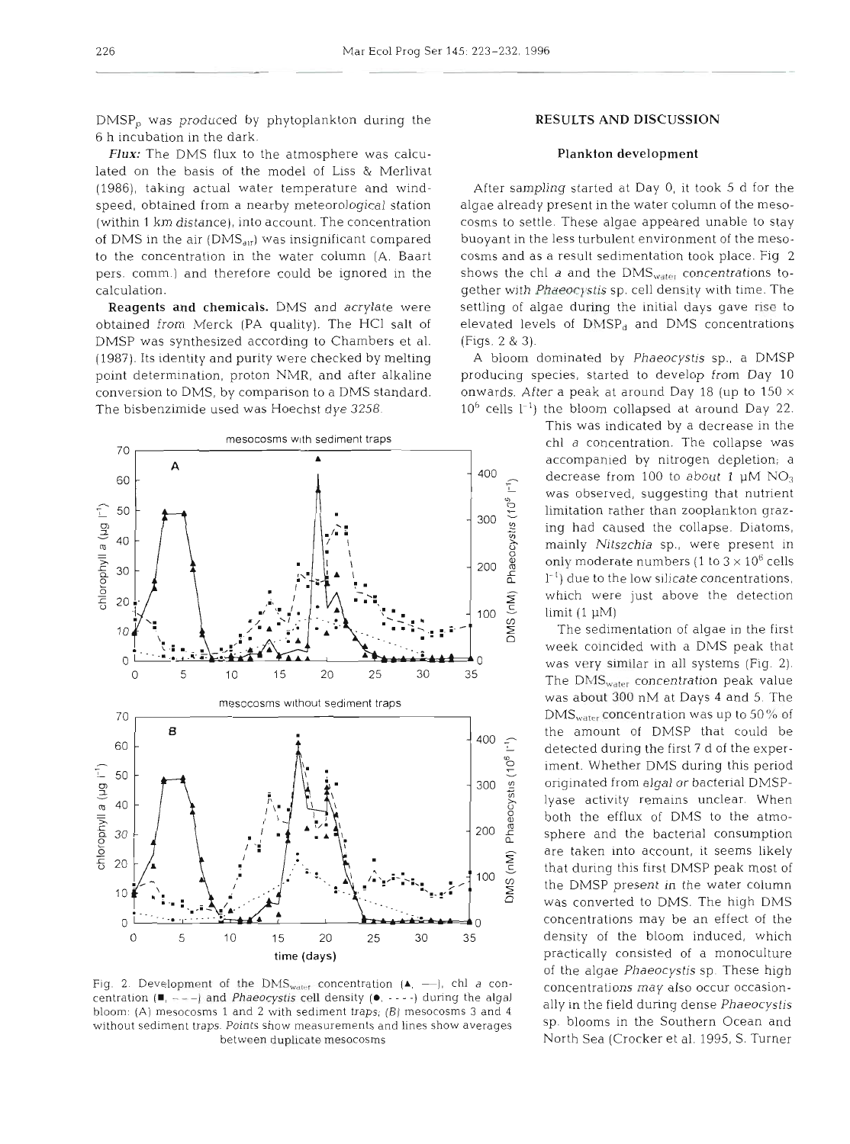DMSP, was produced by phytoplankton during the **RESULTS AND DISCUSSION**  6 h incubation in the dark.

*Flux:* The DMS flux to the atmosphere was calcu- **Plankton development** lated on the basis of the model of Liss & Merlivat (1986), taking actual water temperature and wind- After sampling started at Day 0, it took 5 d for the speed, obtained from a nearby meteorological station algae already present in the water column of the meso- (within 1 km distance), into account. The concentration cosms to settle. These algae appeared unable to stay of DMS in the air (DMS<sub>air</sub>) was insignificant compared buoyant in the less turbulent environment of the mesoto the concentration in the water column (A. Baart cosms and as a result sedimentation took place. Fig 2 pers. comm.) and therefore could be ignored in the shows the chl *a* and the DMS<sub>water</sub> concentrations tocalculation. gether with *Phaeocystis* sp, cell density with time. The

obtained from Merck (PA quality). The HCl salt of elevated levels of  $DMSP<sub>d</sub>$  and DMS concentrations DMSP was synthesized according to Chambers et al. (Figs. 2 & 3). (1987). Its identity and purity were checked by melting A bloom dominated by *Phaeocystis* sp., a DMSP point determination, proton NMR, and after alkaline producing species, started to develop from Day 10 conversion to DMS, by comparison to a DMS standard. onwards. After a peak at around Day 18 (up to 150  $\times$ The bisbenzimide used was Hoechst dye 3258.  $10^6$  cells  $1^{-1}$ ) the bloom collapsed at around Day 22.



Fig. 2. Development of the DMS<sub>water</sub> concentration  $(A, -)$ , chl a concentration  $(\blacksquare, ---)$  and *Phaeocystis* cell density  $(\lozenge, ---)$  during the algal bloom: **(A)** mesocosms 1 and 2 with sediment traps; (B) mesocosms 3 and 4 without sediment traps. Points show measurements and lines show averages between duplicate mesocosms

Reagents and chemicals. DMS and acrylate were settling of algae during the initial days gave rise to

This was indicated by a decrease in the *The collapse was*<br>*The collapse was*<br>*The companied by pitrogen depletion* **as A**accompanied by nitrogen depletion; a<br>**A**<sup>400</sup> decrease from 100 to about 1 uM NO<sub>2</sub> decrease from 100 to about 1  $\mu$ M NO<sub>3</sub> was observed, suggesting that nutrient<br>  $\frac{65}{52}$  limitation rather than zooplankton graz-<br>
ing had caused the collapse. Diatoms,<br>
mainly *Nitszchia* sp., were present in<br>
only moderate numbers (1 to  $3 \times 10^6$  cells<br> 300 J<sub>1</sub> limitation rather than zooplankton graz-<br>ing had caused the collapse. Diatoms, **6** mainly *Nitszchia* sp., were present in only moderate numbers  $(1 \text{ to } 3 \times 10^6 \text{ cells})$ 200 and the low silicate concentrations,<br>  $\frac{1}{2}$  and the low silicate concentrations,<br>  $\frac{1}{2}$  which were just above the detection<br>  $\frac{1}{2}$  limit (1 µM)<br>
The sedimentation of algae in the first which were just above the detection  $100 \frac{5}{3}$  limit (1 pM)

*<sup>5</sup>*The sedimentation of algae in the first week coincided with a DMS peak that was about 300 nM at Days 4 and 5. The  $\text{DMS}_{\text{water}}$  concentration was up to 50% of the amount of DMSP that could be detected during the first 7 d of the experiment. Whether DMS during this period originated from algal or bacterial DMSPlyase activity remains unclear. When both the efflux of DMS to the atmosphere and the bacterial consumption are taken into account, it seems likely that during this first DMSP peak most of the DMSP present in the water column was converted to DMS. The high DMS concentrations may be an effect of the density of the bloom induced, which practically consisted of a monoculture of the algae *Phaeocystis* sp. These high concentrations may also occur occasionally in the field during dense *Phaeocystis*  sp. blooms in the Southern Ocean and North Sea (Crocker et al. 1995, S. Turner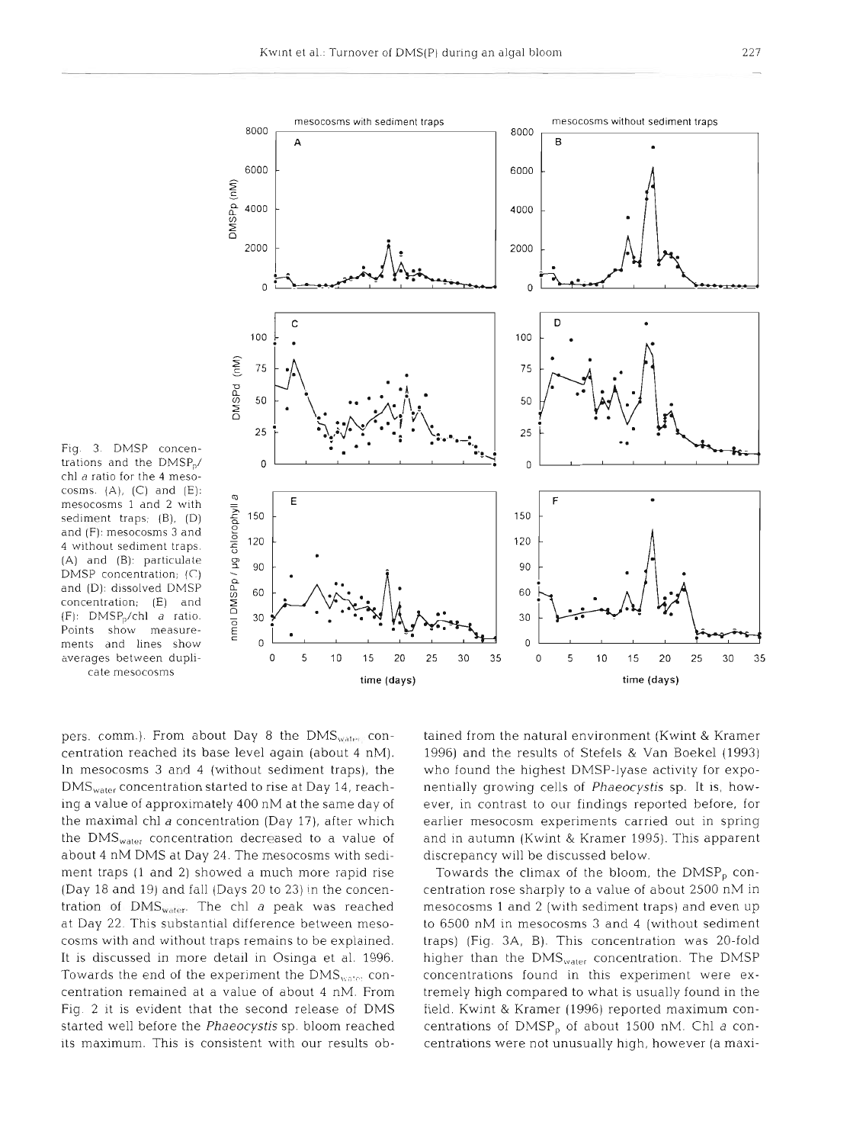

chl a ratio for the 4 mesocosms. (A), (C) and (E):<br>
mesocosms 1 and 2 with<br>
sediment traps; (B), (D)<br>
and (F): mesocosms 3 and<br>
4 without sediment traps.<br>
(A) and (B): particulate<br>
DMSP concentration; (C)<br>
and (D): dissolved DMSP<br>
concentration; (

pers. comm.). From about Day 8 the  $DMS<sub>water</sub>$  concentration reached its base level again (about 4 nM). In mesocosms **3** and 4 (without sediment traps), the  $\rm{DMS}_{water}$  concentration started to rise at Day 14, reaching a value of approximately 400 nM at the same day of the maximal chl a concentration (Day 17), after which the DMS<sub>water</sub> concentration decreased to a value of about 4 nM DMS at Day 24. The mesocosms with sediment traps (1 and 2) showed a much more rapid rise (Day 18 and 19) and fall (Days 20 to 23) in the concentration of  $\text{DMS}_{\text{water}}$ . The chl a peak was reached at Day 22. This substantial difference between mesocosms with and without traps remains to be explained. It is discussed in more detail in Osinga et al. 1996. Towards the end of the experiment the  $\rm{DMS}_{\rm{water}}$  concentration remained at a value of about 4 nM. From Fig. 2 it is evident that the second release of DMS started well before the *Phaeocystis* sp. bloom reached its maximum. This is consistent with our results ob-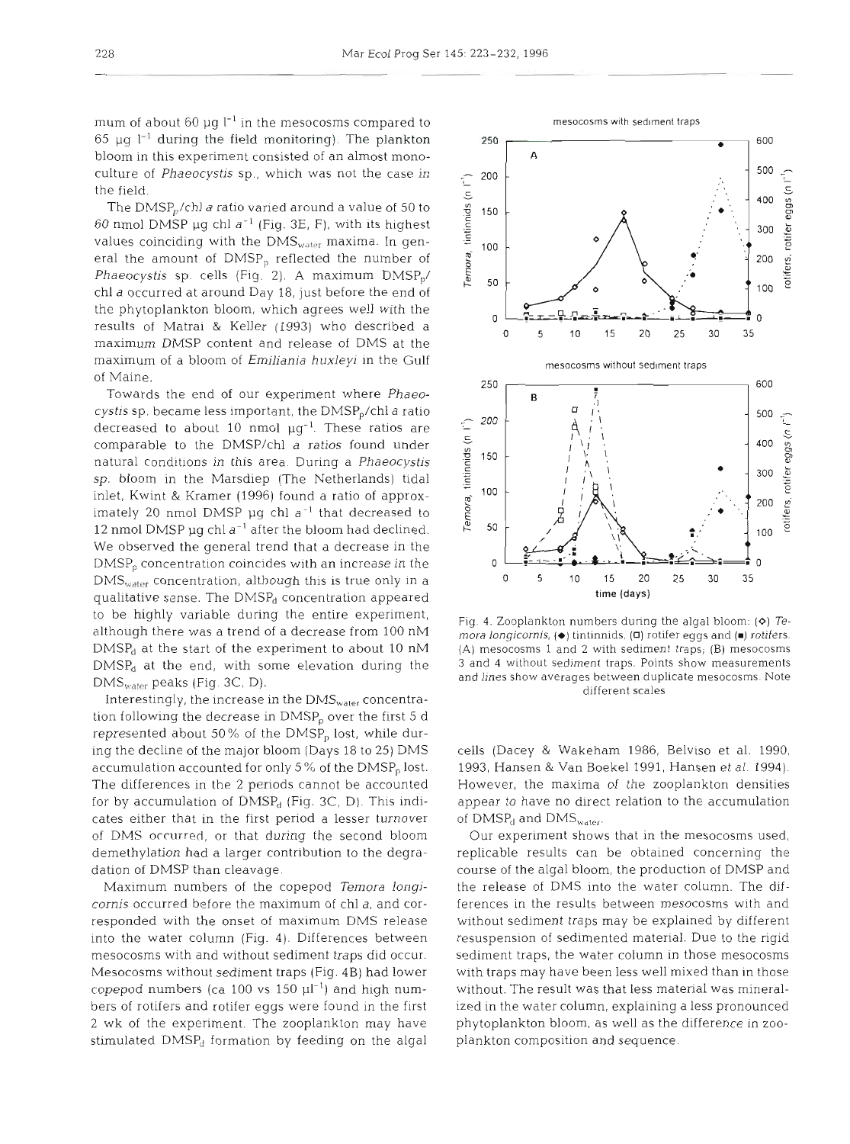250

200

A

mum of about 60  $\mu$ g l<sup>-1</sup> in the mesocosms compared to 65  $\mu$ g l<sup>-1</sup> during the field monitoring). The plankton bloom in this experiment consisted of an almost monoculture of *Phaeocystis* sp., which was not the case in the field.

The  $DMSP<sub>p</sub>/chl$  a ratio varied around a value of 50 to 60 nmol DMSP pg chl *a-'* (Fig. 3E, F), with its highest values coinciding with the  $\rm{DMS}_{water}$  maxima. In general the amount of  $DMSP<sub>p</sub>$  reflected the number of *Phaeocystis* sp. cells (Fig. 2). A maximum DMSP<sub>p</sub>/ chl *a* occurred at around Day 18, just before the end of the phytoplankton bloom, which agrees well with the results of Matrai & Keller (1993) who described a maximum DMSP content and release of DMS at the maximum of a bloom of *Emiliania huxleyi* in the Gulf of Maine.

Towards the end of our experiment where *Phaeocystis* sp. became less important, the DMSP,/chl *a* ratio decreased to about 10 nmol  $\mu g^{-1}$ . These ratios are comparable to the DMSP/chl a ratios found under natural conditions in this area. During a *Phaeocystis*  sp. bloom in the Marsdiep (The Netherlands) tidal inlet, Kwint & Kramer (1996) found a ratio of approximately 20 nmol DMSP pg chl *a-'* that decreased to 12 nmol DMSP µg chl a<sup>-1</sup> after the bloom had declined. We observed the general trend that a decrease in the  $DMSP<sub>p</sub>$  concentration coincides with an increase in the  $\text{DMS}_{\text{water}}$  concentration, although this is true only in a qualitative sense. The  $DMSP<sub>d</sub>$  concentration appeared to be highly variable during the entire experiment, although there was a trend of a decrease from 100 nM  $DMSP<sub>d</sub>$  at the start of the experiment to about 10 nM  $DMSP<sub>d</sub>$  at the end, with some elevation during the  $DMS_{water}$  peaks (Fig. 3C, D).

Interestingly, the increase in the DMS<sub>water</sub> concentration following the decrease in  $\text{DMSP}_{p}$  over the first 5 d represented about 50% of the DMSP<sub>p</sub> lost, while during the decline of the major bloom (Days 18 to 25) DMS accumulation accounted for only 5% of the  $\text{DMSP}_p$  lost. The differences in the 2 periods cannot be accounted for by accumulation of  $\text{DMSE}_{d}$  (Fig. 3C, D). This indicates either that in the first period a lesser turnover of DMS occurred, or that during the second bloom demethylation had a larger contribution to the degradation of DMSP than cleavage.

Maximum numbers of the copepod *Temora longicornis* occurred before the maximum of chl *a,* and corresponded with the onset of maximum DMS release into the water column (Fig. 4). Differences between mesocosms with and without sediment traps did occur. Mesocosms without sediment traps (Fig. 4B) had lower copepod numbers (ca 100 vs 150  $\mu$ <sup>-1</sup>) and high numbers of rotifers and rotifer eggs were found in the first 2 wk of the experiment. The zooplankton may have stimulated  $DMSP<sub>d</sub>$  formation by feeding on the algal



 $mora$   $longicornis,$   $(\blacklozenge)$  <code>tintinnids.</code>  $(\blacksquare)$  <code>rotifers.</code> (A) mesocosms 1 and 2 with sediment traps; (B) mesocosms 3 and 4 without sediment traps. Points show measurements and lines show averages between duplicate mesocosms. Note different scales

cells (Dacey & Wakeham 1986, Belviso et al. 1990, 1993, Hansen & Van Boekel 1991, Hansen et al. 1994). However, the maxima of the zooplankton densities appear to have no direct relation to the accumulation of  $\text{DMSP}_d$  and  $\text{DMS}_{water}$ .

Our experiment shows that in the mesocosms used, replicable results can be obtained concerning the course of the algal bloom, the production of DMSP and the release of DMS into the water column. The differences in the results between mesocosms with and without sediment traps may be explained by different resuspension of sedimented material. Due to the rigid sediment traps, the water column in those mesocosms with traps may have been less well mixed than in those without. The result was that less material was mineralized in the water column, explaining a less pronounced phytoplankton bloom, as well as the difference in zooplankton composition and sequence.



600

500

 $\epsilon$ 400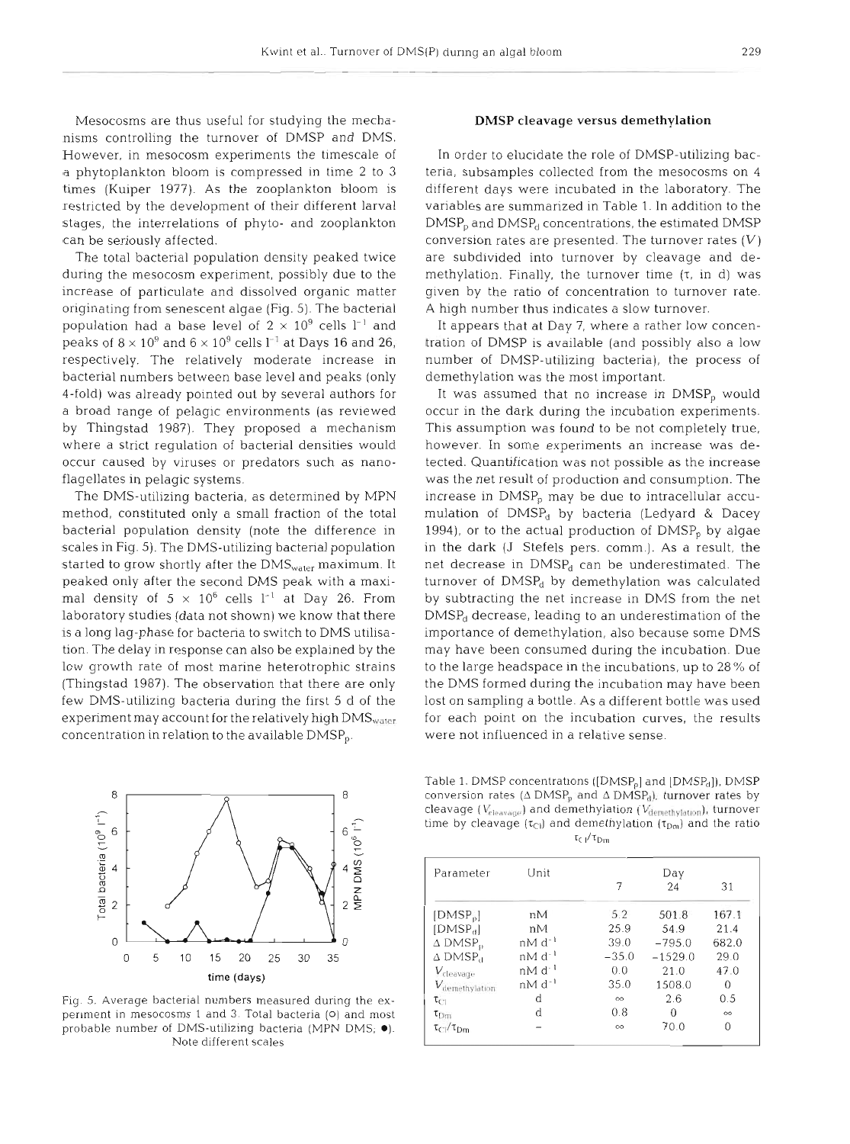Mesocosms are thus useful for studying the mechanisms controlling the turnover of DMSP and DMS. However, in mesocosm experiments the timescale of a phytoplankton bloom is compressed in time 2 to **3**  times (Kuiper 1977). As the zooplankton bloom is restricted by the development of their different larval stages, the interrelations of phyto- and zooplankton can be seriously affected.

The total bacterial population density peaked twice during the mesocosm experiment, possibly due to the increase of particulate and dissolved organic matter originating from senescent algae (Fig. 5). The bacterial population had a base level of  $2 \times 10^9$  cells  $l^{-1}$  and peaks of  $8 \times 10^9$  and  $6 \times 10^9$  cells  $l^{-1}$  at Days 16 and 26, respectively. The relatively moderate increase in bacterial numbers between base level and peaks (only 4-fold) was already pointed out by several authors for a broad range of pelagic environments (as reviewed by Thingstad 1987). They proposed a mechanism where a strict regulation of bacterial densities would occur caused by viruses or predators such as nanoflagellates in pelagic systems.

The DMS-utilizing bacteria, as determined by MPN method, constituted only a small fraction of the total bacterial population density (note the difference in scales in Fig. 5). The DMS-utilizing bacterial population started to grow shortly after the  $\rm{DMS}_{water}$  maximum. It peaked only after the second DMS peak with a maximal density of  $5 \times 10^6$  cells  $1^{-1}$  at Day 26. From laboratory studies (data not shown) we know that there is a long lag-phase for bacteria to switch to DMS utilisation. The delay in response can also be explained by the low growth rate of most marine heterotrophic strains (Thingstad 1987). The observation that there are only few DMS-utilizing bacteria during the first 5 d of the experiment may account for the relatively high  $\text{DMS}_{\text{water}}$ concentration in relation to the available DMSP<sub>p</sub>.

## DMSP cleavage versus demethylation

In order to elucidate the role of DMSP-utilizing bacteria, subsamples collected from the mesocosms on 4 different days were incubated in the laboratory. The variables are summarized in Table 1. In addition to the  $\text{DMSP}_p$  and  $\text{DMSP}_d$  concentrations, the estimated  $\text{DMSP}_p$ conversion rates are presented. The turnover rates  $(V)$ are subdivided into turnover by cleavage and demethylation. Finally, the turnover time  $(\tau, \text{ in d})$  was given by the ratio of concentration to turnover rate. A high number thus indicates a slow turnover.

It appears that at Day 7, where a rather low concentration of DMSP is available (and possibly also a low number of DMSP-utilizing bacteria), the process of demethylation was the most important.

It was assumed that no increase in  $DMSP<sub>p</sub>$  would occur in the dark during the incubation experiments. This assumption was found to be not completely true, however. In some experiments an increase was detected. Quantification was not possible as the increase was the net result of production and consumption. The increase in DMSP, may be due to intracellular accumulation of DMSP<sub>d</sub> by bacteria (Ledyard & Dacey 1994), or to the actual production of  $DMSP<sub>p</sub>$  by algae in the dark (J Stefels pers. comm.). As a result, the net decrease in  $DMSP<sub>d</sub>$  can be underestimated. The turnover of DMSP<sub>d</sub> by demethylation was calculated by subtracting the net increase in DMS from the net  $DMSP<sub>d</sub>$  decrease, leading to an underestimation of the importance of demethylation, also because some DMS may have been consumed during the incubation. Due to the large headspace in the incubations, up to 28% of the DMS formed during the incubation may have been lost on sampling a bottle. As a different bottle was used for each point on the incubation curves, the results were not influenced in a relative sense.



Fig. 5. Average bacterial numbers measured during the experiment in rnesocosms 1 and 3. Total bacteria **(0)** and most probable number of DMS-utilizing bacteria (MPN DMS; .). Note different scales

Table 1. DMSP concentrations ([DMSP<sub>o</sub>] and [DMSP<sub>d</sub>]), DMSP conversion rates (4 DMSP,, and **A** DMSP,,), turnover rates by cleavage ( $Y_{\text{clearage}}$ ) and demethylation ( $Y_{\text{demethylation}}$ ), turnover time by cleavage  $(\tau_{Cl})$  and demethylation  $(\tau_{Dm})$  and the ratio  $\tau_{\text{c}}$ <sub>1</sub>/ $\tau_{\text{Dm}}$ 

| Parameter                  | Unit        | Day      |           |          |  |
|----------------------------|-------------|----------|-----------|----------|--|
|                            |             |          | 24        | 31       |  |
| [DMSP <sub>p</sub> ]       | nM          | 5.2      | 501.8     | 167.1    |  |
| [DMSP <sub>d</sub> ]       | nM          | 25.9     | 54.9      | 21.4     |  |
| $\Delta$ DMSP <sub>p</sub> | $nM d^{-1}$ | 39.0     | $-795.0$  | 682.0    |  |
| $\Delta$ DMSP <sub>a</sub> | $nM d^{-1}$ | $-35.0$  | $-1529.0$ | 29.0     |  |
| V <sub>cleavag</sub> .     | $nM d^{-1}$ | 0.0      | 21.0      | 47.0     |  |
| Wiemethylation             | $nM d^{-1}$ | 35.0     | 1508.0    | 0        |  |
| $\tau_{\text{Cl}}$         | d           | $\infty$ | 2.6       | 0.5      |  |
| $v_{\rm lim}$              | d           | 0.8      | O         | $\infty$ |  |
| $\tau_{Dm}$                |             | $\infty$ | 70.0      | 0        |  |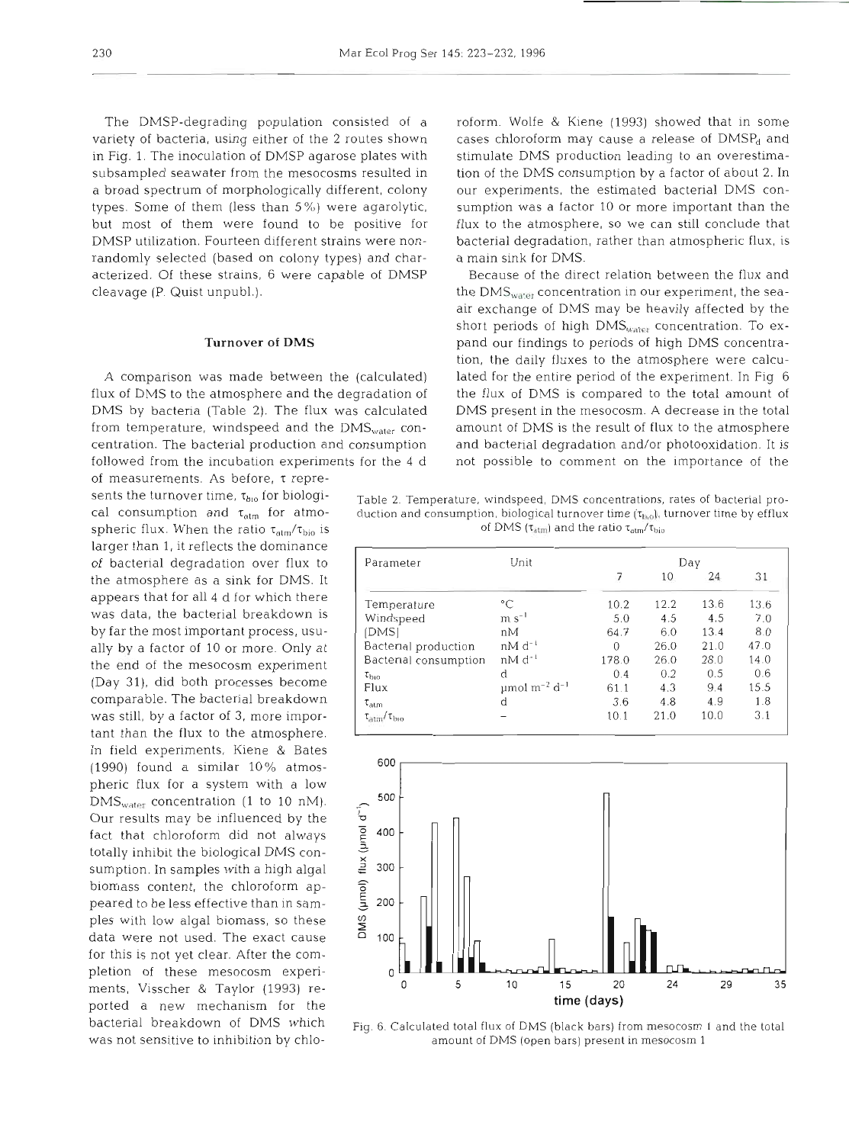variety of bacteria, using either of the 2 routes shown cases chloroform may cause a release of DMSP<sub>d</sub> and in Fig. 1. The inoculation of DMSP agarose plates with stimulate DMS production leading to an overestimasubsampled seawater from the mesocosms resulted in tion of the DMS consumption by a factor of about 2. In a broad spectrum of morphologically different, colony our experiments, the estimated bacterial DMS contypes. Some of them (less than *5%))* were agarolytic, sumption was a factor 10 or more important than the but most of them were found to be positive for flux to the atmosphere, so we can still conclude that DMSP utilization. Fourteen different strains were non- bacterial degradation, rather than atmospheric flux, is randomly selected (based on colony types) and char- a main sink for DMS. acterized. Of these strains, 6 were capable of DMSP Because of the direct relation between the flux and

of measurements. As before, r reprelarger than 1, it reflects the dominance of bacterial degradation over flux to the atmosphere as a sink for DMS. It appears that for all 4 d for which there was data, the bacterial breakdown is by far the most important process, usually by a factor of 10 or more. Only at the end of the mesocosm experiment (Day 31), did both processes become comparable. The bacterial breakdown was still, by a factor of 3, more important than the flux to the atmosphere. In field experiments, Kiene & Bates (1990) found a similar 10% atmos- <sup>600</sup> pheric flux for a system with a low DMS<sub>water</sub> concentration (1 to 10 nM).  $\frac{500}{500}$ <br>Our results may be influenced by the Our results may be influenced by the<br>fact that chloroform did not always  $\begin{bmatrix} 2 & 400 \\ 2 & 400 \end{bmatrix}$ <br>totally inhibit the biological DMS con-<br>sumption. In samples with a high algal  $\begin{bmatrix} 2 & 300 \\ 2 & 400 \end{bmatrix}$ fact that chloroform did not always totally inhibit the biological DMS consumption. In samples with a high algal  $\frac{2}{5}$  300<br>biomass content, the chloroform ap-<br>peared to be less effective than in sam-<br>ples with low algal biomass, so these<br>data were not used. The exact cause biomass content, the chloroform appeared to be less effective than in sam- *5* <sup>200</sup> ples with low algal biomass, so these  $\frac{9}{6}$  data were not used. The exact cause  $\frac{100}{6}$  100 for this is not yet clear. After the completion of these mesocosm experi- 0 ported a new mechanism for the

The DMSP-degrading population consisted of a roform. Wolfe & Kiene (1993) showed that in some

cleavage (P. Quist unpubl.).  $t = \text{max}_{\text{water}}$  the DMS<sub>water</sub> concentration in our experiment, the seaair exchange of DMS may be heavily affected by the short periods of high  $DMS<sub>water</sub>$  concentration. To ex-**Turnover of DMS pand our findings to periods of high DMS** concentration, the daily fluxes to the atmosphere were calcu-A comparison was made between the (calculated) lated for the entire period of the experiment. In Fig 6 flux of DMS to the atmosphere and the degradation of the flux of DMS is compared to the total amount of DMS by bacteria (Table 2). The flux was calculated DMS present in the mesocosm. A decrease in the total from temperature, windspeed and the  $\text{DNS}_{\text{water}}$  con- amount of DMS is the result of flux to the atmosphere centration. The bacterial production and consumption and bacterial degradation and/or photooxidation. It is followed from the incubation experiments for the  $4 d$  not possible to comment on the importance of the

sents the turnover time,  $\tau_{\text{bio}}$  for biologi-<br>cal consumption and  $\tau_{\text{atm}}$  for atmo-<br>duction and consumption and  $\tau_{\text{atm}}$  for atmo-<br>duction and consumption, biological turnover time ( $\tau_{\text{lib}}$ ), turnover time by duction and consumption, biological turnover time ( $\tau_{\text{high}}$ ), turnover time by efflux spheric flux. When the ratio  $\tau_{\text{atm}}/\tau_{\text{bio}}$  is of DMS  $(\tau_{\text{atm}})$  and the ratio  $\tau_{\text{atm}}/\tau_{\text{bio}}$ 

| Parameter                       | Unit                                      | Day   |      |      |      |
|---------------------------------|-------------------------------------------|-------|------|------|------|
|                                 |                                           | 7     | 10   | 24   | 31   |
| Temperature                     | °C                                        | 10.2  | 12.2 | 13.6 | 13.6 |
| Windspeed                       | $m s^{-1}$                                | 5.0   | 4.5  | 4.5  | 7.0  |
| [DMS]                           | nМ                                        | 64.7  | 6.0  | 13.4 | 8.0  |
| Bacterial production            | $nM d^{-1}$                               | 0     | 26.0 | 21.0 | 47.0 |
| Bacterial consumption           | $nM d^{-1}$                               | 178.0 | 26.0 | 28.0 | 14.0 |
| $\tau_{\rm bio}$                | d                                         | 0.4   | 0.2  | 0.5  | 0.6  |
| Flux                            | $\mu$ mol m <sup>-2</sup> d <sup>-1</sup> | 61.1  | 4.3  | 9.4  | 15.5 |
| $\tau_{atm}$                    | d                                         | 3.6   | 4.8  | 4.9  | 1.8  |
| $\tau_{\rm atm}/\tau_{\rm bio}$ |                                           | 10.1  | 21.0 | 10.0 | 3.1  |



bacteria1 breakdown of DMS which Fig. 6. Calculated total flux of DMS (black bars) from rnesocosm **1** and the total was not sensitive to inhibition by chlo- amount of DMS (open bars) present in mesocosm 1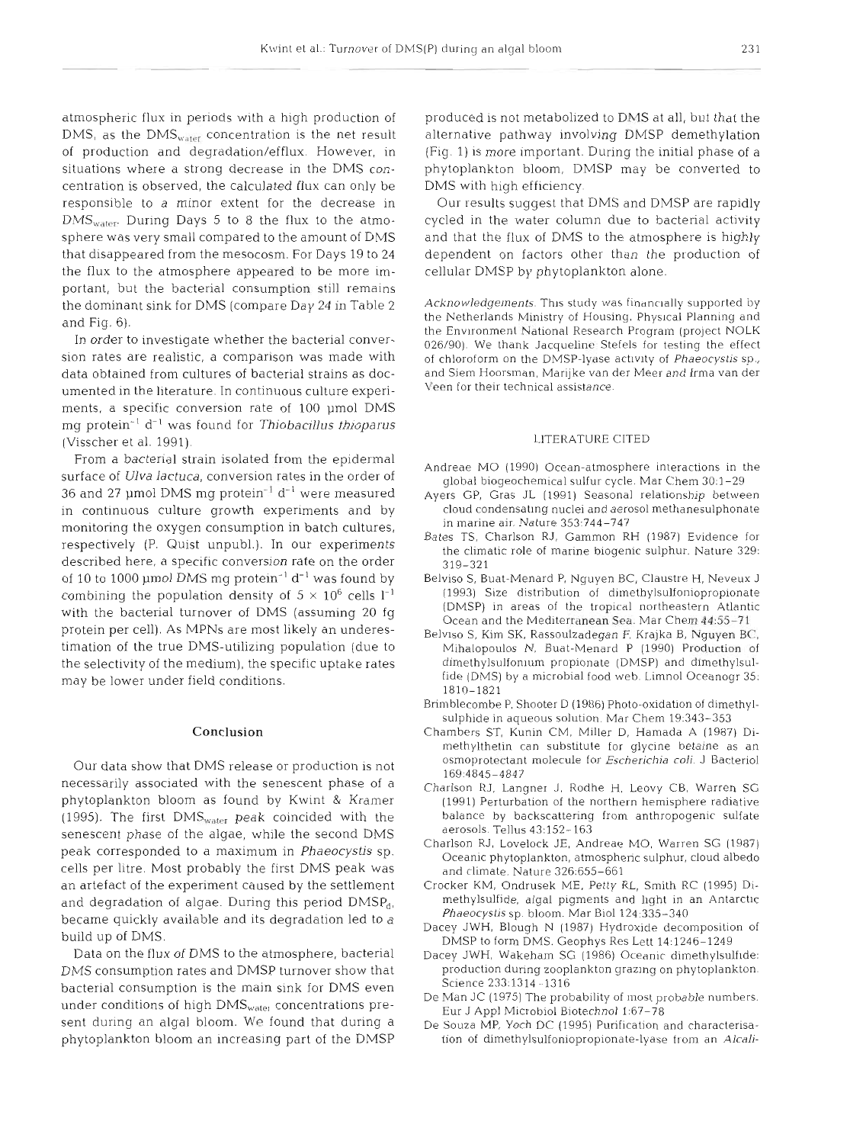atmospheric flux in periods with a high production of DMS, as the  $DMS<sub>water</sub>$  concentration is the net result of production and degradation/efflux. However, in situations where a strong decrease in the DMS concentration is observed, the calculated flux can only be responsible to a minor extent for the decrease in  $\text{DMS}_{\text{water}}$ . During Days 5 to 8 the flux to the atmosphere was very small compared to the amount of DMS that disappeared from the mesocosm. For Days 19 to 24 the flux to the atmosphere appeared to be more important, but the bacterial consumption still remains the dominant sink for DMS (compare Day  $24$  in Table 2 and Fig. 6).

In order to investigate whether the bacterial conversion rates are realistic, a comparison was made with data obtained from cultures of bacterial strains as documented in the literature. In continuous culture experiments, a specific conversion rate of 100 umol DMS mg protein<sup>-1</sup> d<sup>-1</sup> was found for Thiobacillus thioparus (Visscher et al. 1991).

From a bacterial strain isolated from the epidermal surface of Ulva lactuca, conversion rates in the order of 36 and 27 µmol DMS mg protein<sup>-1</sup> d<sup>-1</sup> were measured in continuous culture growth experiments and by monitoring the oxygen consumption in batch cultures, respectively (P. Quist unpubl.). In our experiments described here, a specific conversion rate on the order of 10 to 1000 µmol DMS mg protein<sup>-1</sup>  $d^{-1}$  was found by combining the population density of  $5 \times 10^6$  cells  $1^{-1}$ with the bacterial turnover of DMS (assuming 20 fg protein per cell). As MPNs are most likely an underestimation of the true DMS-utilizing population (due to the selectivity of the medium), the specific uptake rates may be lower under field conditions.

### **Conclusion**

Our data show that DMS release or production is not necessarily associated with the senescent phase of a phytoplankton bloom as found by Kwint & Kramer (1995). The first  $\text{DMS}_{\text{water}}$  peak coincided with the senescent phase of the algae, while the second DMS peak corresponded to a maximum in Phaeocystis sp. cells per litre. Most probably the first DMS peak was an artefact of the experiment caused by the settlement and degradation of algae. During this period  $DMSP<sub>dt</sub>$ , became quickly available and its degradation led to a build up of DMS.

Data on the flux of DMS to the atmosphere, bacterial DMS consumption rates and DMSP turnover show that bacterial consumption is the main sink for DMS even under conditions of high DMS<sub>water</sub> concentrations present during an algal bloom. We found that during a phytoplankton bloom an increasing part of the DMSP produced is not metabolized to DhlS at all, but that the alternative pathway involving DMSP demethylation (Fig. 1) is more important. During the initial phase of a phytoplankton bloom, DMSP may be converted to DMS with high efficiency.

Our results suggest that DMS and DMSP are rapidly cycled in the water column due to bacterial activity and that the flux of DMS to the atmosphere is highly dependent on factors other than the production of cellular DMSP by phytoplankton alone.

Acknowledgements. This study was financially supported by the Netherlands Ministry of Housing, Physical Planning and the Environment National Research Program (project NOLK 026/90). We thank Jacqueline Stefels for testing the effect of chloroform on the DMSP-lyase activity of Phaeocystis sp., and Siem Hoorsman, Marijke van der Meer and Irma van der Veen for their technical assistance.

### LITERATURE CITED

- Andreae MO (1990) Ocean-atmosphere interactions in the global biogeochemical sulfur cycle. Mar Chem 30:1-29
- Ayers GP, Gras JL (1991) Seasonal relationship between cloud condensatlng nuclei and aerosol methanesulphonate in marine air. Nature 353:744-747
- Bates TS, Charlson RJ, Gammon RH (1987) Evidence for the climatic role of marine biogenic sulphur. Nature 329: 319-321
- Belviso S, Buat-Menard P, Nyuyen BC, Claustre H, Neveux J (1993) Slze distribution of dirnethylsulfoniopropionate (DMSP) in areas of the tropical northeastern Atlantic Ocean and the Mediterranean Sea. Mar Chem 44:55-71
- Belviso S, Kim SK, Rassoulzadegan F, Krajka B, Nguyen BC, Mihalopoulos N, Buat-Menard P (1990) Production of dimethylsulfonium propionate (DMSP) and dimethylsulfide (DMS) by a microbial food web. Limnol Oceanogr 35: 1810-1821
- Brimblecombe P, Shooter D (1986) Photo-oxidation of dimethylsulphide in aqueous solution. Mar Chem 19:343-353
- Chambers ST. Kunin CM, Miller D, Hamada A (1987) Dimethylthetin can substitute for glycine betaine as an osmoprotectant molecule for Escherichia coli. J Bacteriol 169:4845-4847
- Charlson RJ, Langner J. Rodhe H. Leovy CB, Warren SG (1991) Perturbation of the northern hemisphere radiative balance by backscattering from anthropogenic sulfate aerosols. Tellus 43:152-163
- Charlson RJ, Lovelock JE, Andreae MO. Warren SG (1987) Oceanic phytoplankton, atmospheric sulphur, cloud albedo and climate. Nature 326:655-661
- Crocker KM, Ondrusek ME, Petty RL, Smith RC (1995) Dimethylsulfide, algal pigments and hght in an Antarctic Phaeocystis sp. bloom. Mar Biol 124:335-340
- Dacey JWH, Blough N (1987) Hydroxide decomposition of DMSP to form DMS. Geophys Res Lett 14:1246-1249
- Dacey JWH, Wakeham SG (1986) Oceanic dimethylsulfide: production during zooplankton grazing on phytoplankton. Science 233:1314 - 1316
- De Man JC (1975) The probability of most probable numbers. Eur J Appl Microbial Biotechnol 1:67-78
- De Souza MP. Yoch DC (1995) Purification and characterisation of dimethylsulfoniopropionate-lyase from an Alcali-